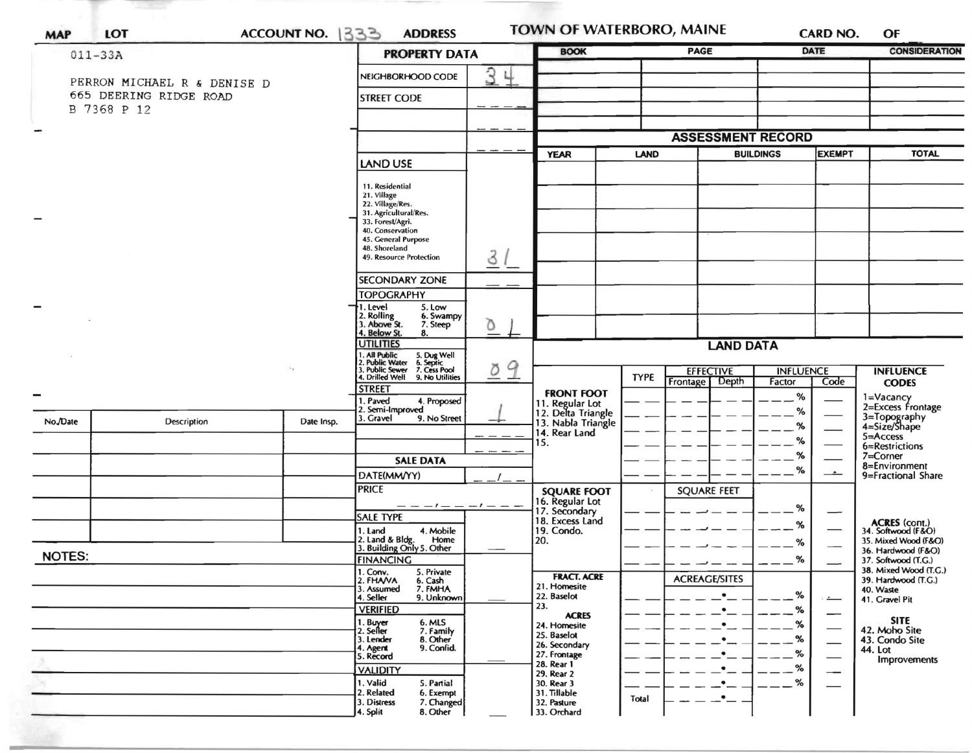| <b>MAP</b>               | <b>LOT</b>                                                           | ACCOUNT NO. 1333 | <b>ADDRESS</b>                                                                                                                                                                         |        |                                                                                  | TOWN OF WATERBORO, MAINE                                    | <b>CARD NO.</b>                    | OF                                                                          |  |
|--------------------------|----------------------------------------------------------------------|------------------|----------------------------------------------------------------------------------------------------------------------------------------------------------------------------------------|--------|----------------------------------------------------------------------------------|-------------------------------------------------------------|------------------------------------|-----------------------------------------------------------------------------|--|
|                          | $011 - 33A$                                                          |                  | <b>PROPERTY DATA</b>                                                                                                                                                                   |        | <b>BOOK</b>                                                                      | PAGE                                                        | <b>DATE</b>                        | <b>CONSIDERATION</b>                                                        |  |
|                          | PERRON MICHAEL R & DENISE D<br>665 DEERING RIDGE ROAD<br>B 7368 P 12 |                  | NEIGHBORHOOD CODE<br><b>STREET CODE</b>                                                                                                                                                | 34     |                                                                                  |                                                             |                                    |                                                                             |  |
| $\overline{\phantom{0}}$ |                                                                      |                  |                                                                                                                                                                                        |        |                                                                                  | <b>ASSESSMENT RECORD</b>                                    |                                    |                                                                             |  |
|                          |                                                                      |                  | <b>LAND USE</b>                                                                                                                                                                        |        | <b>YEAR</b>                                                                      | <b>LAND</b>                                                 | <b>BUILDINGS</b><br>EXEMPT         | <b>TOTAL</b>                                                                |  |
|                          |                                                                      |                  | 11. Residential<br>21. Village<br>22. Village/Res.<br>31. Agricultural/Res.<br>33. Forest/Agri.<br>40. Conservation<br>45. General Purpose<br>48. Shoreland<br>49. Resource Protection | 31     |                                                                                  |                                                             |                                    |                                                                             |  |
|                          |                                                                      |                  | <b>SECONDARY ZONE</b>                                                                                                                                                                  |        |                                                                                  |                                                             |                                    |                                                                             |  |
|                          |                                                                      |                  | <b>TOPOGRAPHY</b><br>†1. Level<br>5. Low<br>2. Rolling<br>6. Swampy                                                                                                                    |        |                                                                                  |                                                             |                                    |                                                                             |  |
|                          |                                                                      |                  | 3. Above St.<br>7. Steep<br>4. Below St.<br>8.                                                                                                                                         | Δ      |                                                                                  |                                                             |                                    |                                                                             |  |
|                          |                                                                      |                  | <b>UTILITIES</b>                                                                                                                                                                       |        | <b>LAND DATA</b>                                                                 |                                                             |                                    |                                                                             |  |
|                          |                                                                      |                  | 1. All Public 5. Dug Well<br>2. Public Water 6. Septic<br>3. Public Sewer 7. Cess Pool<br>4. Drilled Well 9. No Utilitie<br>9. No Utilities<br><b>STREET</b>                           | 9<br>Ö |                                                                                  | <b>EFFECTIVE</b><br><b>TYPE</b><br><b>Depth</b><br>Frontage | <b>INFLUENCE</b><br>Factor<br>Code | <b>INFLUENCE</b><br><b>CODES</b>                                            |  |
| No./Date                 | Description                                                          | Date Insp.       | 1. Paved<br>4. Proposed<br>2. Semi-Improved<br>3. Gravel<br>9. No Street                                                                                                               |        | <b>FRONT FOOT</b><br>11. Regular Lot<br>12. Delta Triangle<br>13. Nabla Triangle |                                                             | %<br>%                             | 1=Vacancy<br>2=Excess Frontage<br>3=Topography<br>4=Size/Shape              |  |
|                          |                                                                      |                  |                                                                                                                                                                                        |        | 14. Rear Land<br>15.                                                             |                                                             | %<br>%                             | 5=Access                                                                    |  |
|                          |                                                                      |                  | <b>SALE DATA</b>                                                                                                                                                                       |        |                                                                                  |                                                             | %                                  | 6=Restrictions<br>$7 =$ Corner                                              |  |
|                          |                                                                      |                  | DATE(MM/YY)                                                                                                                                                                            |        |                                                                                  |                                                             | %<br>$\overline{\phantom{a}}$      | 8=Environment<br>9=Fractional Share                                         |  |
|                          |                                                                      |                  | <b>PRICE</b>                                                                                                                                                                           |        | <b>SQUARE FOOT</b><br>16. Regular Lot                                            | <b>SQUARE FEET</b>                                          |                                    |                                                                             |  |
|                          |                                                                      |                  | <b>SALE TYPE</b>                                                                                                                                                                       |        | 17. Secondary<br>18. Excess Land                                                 |                                                             | %                                  |                                                                             |  |
|                          |                                                                      |                  | 4. Mobile<br>1. Land<br>2. Land & Bldg. Home<br>3. Building Only 5. Other<br>Home                                                                                                      |        | 19. Condo.<br>20.                                                                |                                                             | ℅<br>%                             | ACRES (cont.)<br>34. Softwood (F&O)<br>35. Mixed Wood (F&O)                 |  |
| <b>NOTES:</b>            |                                                                      |                  | <b>FINANCING</b>                                                                                                                                                                       |        |                                                                                  |                                                             | $\%$                               | 36. Hardwood (F&O)<br>37. Softwood (T.G.)                                   |  |
|                          |                                                                      |                  | 1. Conv. 5. Private<br>6. Cash<br>2. FHAVA<br>3. Assumed<br>7. FMHA<br>4. Seller<br>9. Unknown                                                                                         |        | <b>FRACT. ACRE</b><br>21. Homesite<br>22. Baselot                                | <b>ACREAGE/SITES</b><br>$\bullet$                           | %                                  | 38. Mixed Wood (T.G.)<br>39. Hardwood (T.G.)<br>40. Waste<br>41. Gravel Pit |  |
|                          |                                                                      |                  | <b>VERIFIED</b><br>1. Buyer                                                                                                                                                            |        | 23.<br><b>ACRES</b>                                                              | $\bullet$                                                   | %<br>--                            | <b>SITE</b>                                                                 |  |
|                          |                                                                      |                  | 6. MLS<br>2. Seller<br>7. Family<br>8. Other<br>3. Lender<br>4. Agent<br>9. Confid.<br>5. Record                                                                                       |        | 24. Homesite<br>25. Baselot<br>26. Secondary<br>27. Frontage                     |                                                             | %<br>%<br>%                        | 42. Moho Site<br>43. Condo Site<br>44. Lot                                  |  |
|                          |                                                                      |                  | <b>VALIDITY</b>                                                                                                                                                                        |        | 28. Rear 1<br>29. Rear 2                                                         |                                                             | %                                  | <b>Improvements</b>                                                         |  |
|                          |                                                                      |                  | 1. Valid<br>5. Partial<br>2. Related<br>6. Exempt<br>3. Distress<br>7. Changed<br>4. Split<br>8. Other                                                                                 |        | 30. Rear 3<br>31. Tillable<br>32. Pasture<br>33. Orchard                         | Total                                                       | %                                  |                                                                             |  |